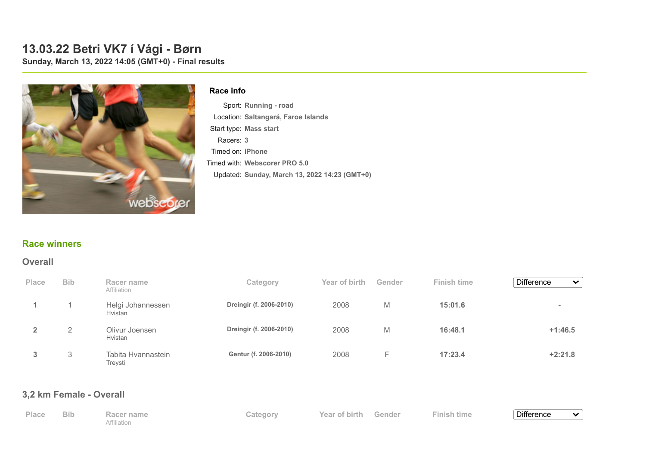# **13.03.22 Betri VK7 í Vági - Børn**

**Sunday, March 13, 2022 14:05 (GMT+0) - Final results**



#### **Race info**

Sport: **Running - road** Location: **Saltangará, Faroe Islands** Start type: **Mass start** Racers: **3** Timed on: **iPhone** Timed with: **Webscorer PRO 5.0** Updated: **Sunday, March 13, 2022 14:23 (GMT+0)**

#### **[Race winners](https://www.webscorer.com/race?raceid=270667)**

#### **Overall**

| Place | <b>Bib</b> | Racer name<br>Affiliation     | Category                | Year of birth | Gender | <b>Finish time</b> | <b>Difference</b><br>$\checkmark$ |
|-------|------------|-------------------------------|-------------------------|---------------|--------|--------------------|-----------------------------------|
|       |            | Helgi Johannessen<br>Hvistan  | Dreingir (f. 2006-2010) | 2008          | M      | 15:01.6            | $\blacksquare$                    |
|       | 2          | Olivur Joensen<br>Hvistan     | Dreingir (f. 2006-2010) | 2008          | M      | 16:48.1            | $+1:46.5$                         |
| 3     | 3          | Tabita Hvannastein<br>Treysti | Gentur (f. 2006-2010)   | 2008          | ⊢      | 17:23.4            | $+2:21.8$                         |

### **3,2 km Female - Overall**

| Place | <b>Bib</b> | Racer name  | Category | Year of birth Gender | <b>Finish time</b> | Difference |  |
|-------|------------|-------------|----------|----------------------|--------------------|------------|--|
|       |            | Affiliation |          |                      |                    |            |  |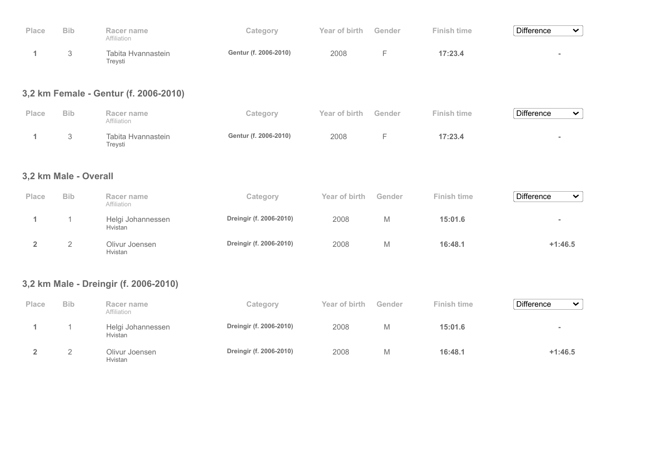| Place | <b>Bib</b> | Racer name<br>Affiliation     | Category              | Year of birth | Gender | <b>Finish time</b> | <b>Difference</b> | $\checkmark$ |
|-------|------------|-------------------------------|-----------------------|---------------|--------|--------------------|-------------------|--------------|
|       |            | Tabita Hvannastein<br>Trevsti | Gentur (f. 2006-2010) | 2008          |        | 17:23.4            |                   |              |

## **3,2 km Female - Gentur (f. 2006-2010)**

| Place | <b>Bib</b> | Racer name<br>Affiliation     | Category              | Year of birth | Gender | <b>Finish time</b> | <b>Difference</b> | ີ |
|-------|------------|-------------------------------|-----------------------|---------------|--------|--------------------|-------------------|---|
|       |            | Tabita Hvannastein<br>Treysti | Gentur (f. 2006-2010) | 2008          |        | 17:23.4            |                   |   |

### **3,2 km Male - Overall**

| <b>Place</b> | <b>Bib</b> | Racer name<br>Affiliation           | Category                | Year of birth | Gender | <b>Finish time</b> | <b>Difference</b><br>$\checkmark$ |
|--------------|------------|-------------------------------------|-------------------------|---------------|--------|--------------------|-----------------------------------|
|              |            | Helgi Johannessen<br><b>Hvistan</b> | Dreingir (f. 2006-2010) | 2008          | М      | 15:01.6            | $\equiv$                          |
|              |            | Olivur Joensen<br><b>H</b> vistan   | Dreingir (f. 2006-2010) | 2008          | M      | 16:48.1            | $+1:46.5$                         |

## **3,2 km Male - Dreingir (f. 2006-2010)**

| <b>Place</b> | <b>Bib</b> | Racer name<br>Affiliation    | Category                | Year of birth | Gender | Finish time | <b>Difference</b><br>$\checkmark$ |
|--------------|------------|------------------------------|-------------------------|---------------|--------|-------------|-----------------------------------|
|              |            | Helgi Johannessen<br>Hvistan | Dreingir (f. 2006-2010) | 2008          |        | 15:01.6     | $\sim$                            |
|              | ∼          | Olivur Joensen<br>Hvistan    | Dreingir (f. 2006-2010) | 2008          | ΙVΙ    | 16:48.1     | $+1:46.5$                         |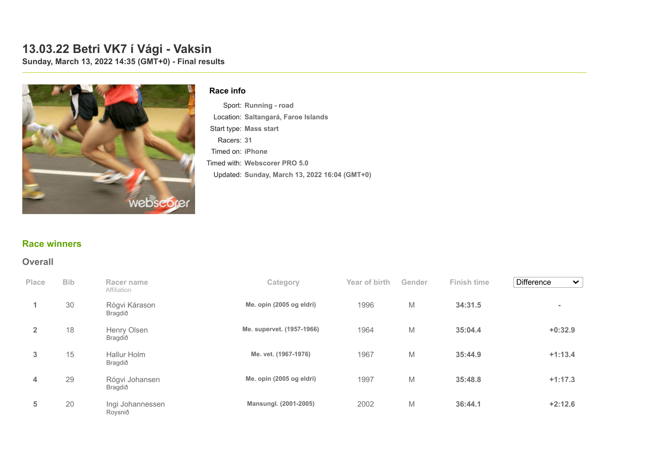# **13.03.22 Betri VK7 í Vági - Vaksin**

**Sunday, March 13, 2022 14:35 (GMT+0) - Final results**



#### **Race info**

Sport: **Running - road** Location: **Saltangará, Faroe Islands** Start type: **Mass start** Racers: **31** Timed on: **iPhone** Timed with: **Webscorer PRO 5.0** Updated: **Sunday, March 13, 2022 16:04 (GMT+0)**

#### **[Race winners](https://www.webscorer.com/race?raceid=270670)**

#### **Overall**

| Place          | <b>Bib</b> | Racer name<br>Affiliation   | Category                  | Year of birth | Gender | <b>Finish time</b> | <b>Difference</b><br>$\checkmark$ |
|----------------|------------|-----------------------------|---------------------------|---------------|--------|--------------------|-----------------------------------|
|                | 30         | Rógvi Kárason<br>Bragdið    | Me. opin (2005 og eldri)  | 1996          | M      | 34:31.5            | $\blacksquare$                    |
| $\overline{2}$ | 18         | Henry Olsen<br>Bragdið      | Me. supervet. (1957-1966) | 1964          | M      | 35:04.4            | $+0:32.9$                         |
| 3              | 15         | Hallur Holm<br>Bragdið      | Me. vet. (1967-1976)      | 1967          | M      | 35:44.9            | $+1:13.4$                         |
| $\overline{4}$ | 29         | Rógvi Johansen<br>Bragdið   | Me. opin (2005 og eldri)  | 1997          | M      | 35:48.8            | $+1:17.3$                         |
| 5              | 20         | Ingi Johannessen<br>Roysnið | Mansungl. (2001-2005)     | 2002          | M      | 36:44.1            | $+2:12.6$                         |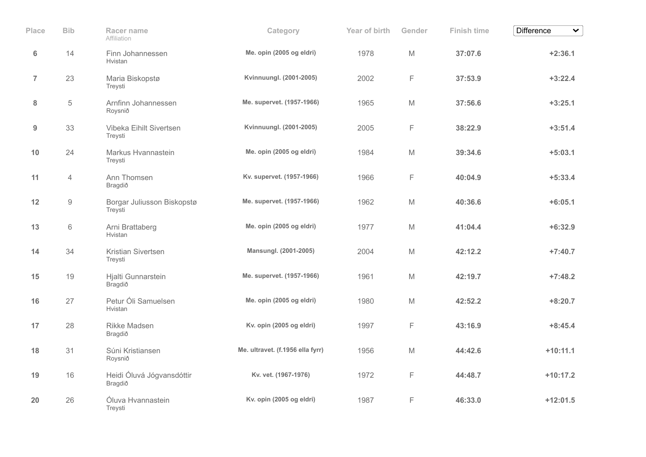| Place            | <b>Bib</b>     | Racer name<br>Affiliation             | Category                         | Year of birth | Gender | <b>Finish time</b> | <b>Difference</b><br>$\checkmark$ |
|------------------|----------------|---------------------------------------|----------------------------------|---------------|--------|--------------------|-----------------------------------|
| $\boldsymbol{6}$ | 14             | Finn Johannessen<br>Hvistan           | Me. opin (2005 og eldri)         | 1978          | M      | 37:07.6            | $+2:36.1$                         |
| $\overline{7}$   | 23             | Maria Biskopstø<br>Treysti            | Kvinnuungl. (2001-2005)          | 2002          | F      | 37:53.9            | $+3:22.4$                         |
| 8                | $\,$ 5 $\,$    | Arnfinn Johannessen<br>Roysnið        | Me. supervet. (1957-1966)        | 1965          | M      | 37:56.6            | $+3:25.1$                         |
| $\boldsymbol{9}$ | 33             | Vibeka Eihilt Sivertsen<br>Treysti    | Kvinnuungl. (2001-2005)          | 2005          | F      | 38:22.9            | $+3:51.4$                         |
| 10               | 24             | Markus Hvannastein<br>Treysti         | Me. opin (2005 og eldri)         | 1984          | M      | 39:34.6            | $+5:03.1$                         |
| 11               | $\overline{4}$ | Ann Thomsen<br>Bragdið                | Kv. supervet. (1957-1966)        | 1966          | F      | 40:04.9            | $+5:33.4$                         |
| 12               | $\hbox{9}$     | Borgar Juliusson Biskopstø<br>Treysti | Me. supervet. (1957-1966)        | 1962          | M      | 40:36.6            | $+6:05.1$                         |
| 13               | 6              | Arni Brattaberg<br>Hvistan            | Me. opin (2005 og eldri)         | 1977          | M      | 41:04.4            | $+6:32.9$                         |
| 14               | 34             | Kristian Sivertsen<br>Treysti         | Mansungl. (2001-2005)            | 2004          | M      | 42:12.2            | $+7:40.7$                         |
| 15               | 19             | Hjalti Gunnarstein<br>Bragdið         | Me. supervet. (1957-1966)        | 1961          | M      | 42:19.7            | $+7:48.2$                         |
| 16               | 27             | Petur Óli Samuelsen<br>Hvistan        | Me. opin (2005 og eldri)         | 1980          | M      | 42:52.2            | $+8:20.7$                         |
| 17               | 28             | <b>Rikke Madsen</b><br>Bragdið        | Kv. opin (2005 og eldri)         | 1997          | F      | 43:16.9            | $+8:45.4$                         |
| 18               | 31             | Súni Kristiansen<br>Roysnið           | Me. ultravet. (f.1956 ella fyrr) | 1956          | M      | 44:42.6            | $+10:11.1$                        |
| 19               | 16             | Heidi Óluvá Jógvansdóttir<br>Bragdið  | Kv. vet. (1967-1976)             | 1972          | F      | 44:48.7            | $+10:17.2$                        |
| 20               | 26             | Óluva Hvannastein<br>Treysti          | Kv. opin (2005 og eldri)         | 1987          | F      | 46:33.0            | $+12:01.5$                        |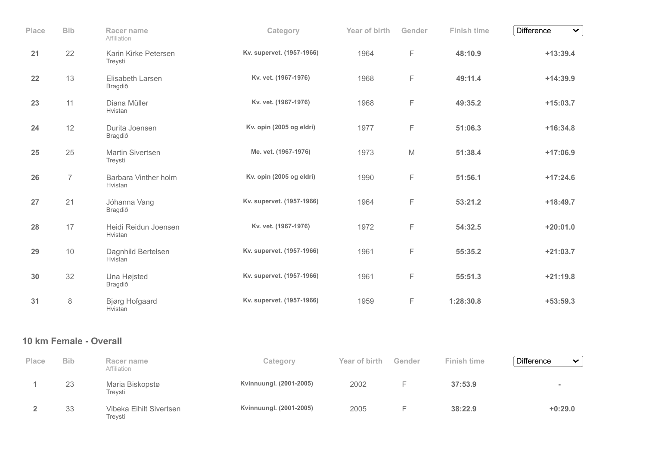| Place | <b>Bib</b>     | Racer name<br>Affiliation              | Category                  | Year of birth | Gender | <b>Finish time</b> | Difference<br>$\checkmark$ |
|-------|----------------|----------------------------------------|---------------------------|---------------|--------|--------------------|----------------------------|
| 21    | 22             | Karin Kirke Petersen<br>Treysti        | Kv. supervet. (1957-1966) | 1964          | F      | 48:10.9            | $+13:39.4$                 |
| 22    | 13             | Elisabeth Larsen<br>Bragdið            | Kv. vet. (1967-1976)      | 1968          | F      | 49:11.4            | $+14:39.9$                 |
| 23    | 11             | Diana Müller<br>Hvistan                | Kv. vet. (1967-1976)      | 1968          | F      | 49:35.2            | $+15:03.7$                 |
| 24    | 12             | Durita Joensen<br>Bragdið              | Kv. opin (2005 og eldri)  | 1977          | F      | 51:06.3            | $+16:34.8$                 |
| 25    | 25             | Martin Sivertsen<br>Treysti            | Me. vet. (1967-1976)      | 1973          | M      | 51:38.4            | $+17:06.9$                 |
| 26    | $\overline{7}$ | <b>Barbara Vinther holm</b><br>Hvistan | Kv. opin (2005 og eldri)  | 1990          | F      | 51:56.1            | $+17:24.6$                 |
| 27    | 21             | Jóhanna Vang<br>Bragdið                | Kv. supervet. (1957-1966) | 1964          | F      | 53:21.2            | $+18:49.7$                 |
| 28    | 17             | Heidi Reidun Joensen<br>Hvistan        | Kv. vet. (1967-1976)      | 1972          | F      | 54:32.5            | $+20:01.0$                 |
| 29    | 10             | Dagnhild Bertelsen<br>Hvistan          | Kv. supervet. (1957-1966) | 1961          | F      | 55:35.2            | $+21:03.7$                 |
| 30    | 32             | Una Højsted<br>Bragdið                 | Kv. supervet. (1957-1966) | 1961          | F      | 55:51.3            | $+21:19.8$                 |
| 31    | $\,8\,$        | <b>Bjørg Hofgaard</b><br>Hvistan       | Kv. supervet. (1957-1966) | 1959          | F      | 1:28:30.8          | $+53:59.3$                 |
|       |                | $ -$                                   |                           |               |        |                    |                            |

| Place | <b>Bib</b> | Racer name<br>Affiliation          | Category                | Year of birth | Gender | <b>Finish time</b> | <b>Difference</b><br>$\checkmark$ |
|-------|------------|------------------------------------|-------------------------|---------------|--------|--------------------|-----------------------------------|
|       | 23         | Maria Biskopstø<br>Treysti         | Kvinnuungl. (2001-2005) | 2002          |        | 37:53.9            |                                   |
|       | 33         | Vibeka Eihilt Sivertsen<br>Trevsti | Kvinnuungl. (2001-2005) | 2005          |        | 38:22.9            | $+0:29.0$                         |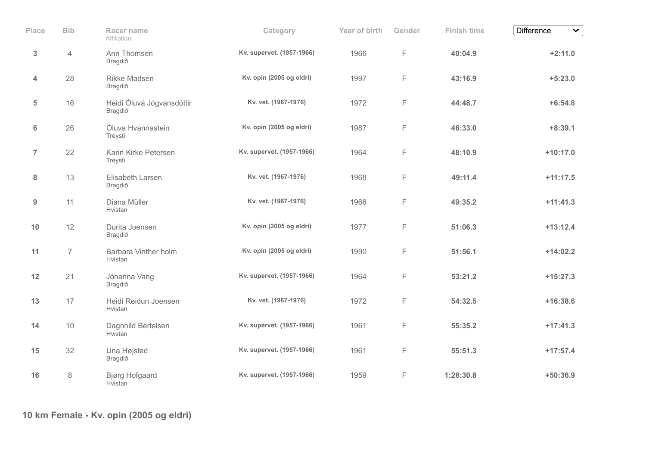| Place          | <b>Bib</b>     | Racer name<br>Affiliation            | Category                  | Year of birth | Gender | <b>Finish time</b> | <b>Difference</b><br>$\checkmark$ |
|----------------|----------------|--------------------------------------|---------------------------|---------------|--------|--------------------|-----------------------------------|
| 3              | $\overline{4}$ | Ann Thomsen<br>Bragdið               | Kv. supervet. (1957-1966) | 1966          | F      | 40:04.9            | $+2:11.0$                         |
| 4              | 28             | Rikke Madsen<br>Bragdið              | Kv. opin (2005 og eldri)  | 1997          | F      | 43:16.9            | $+5:23.0$                         |
| 5              | 16             | Heidi Óluvá Jógvansdóttir<br>Bragdið | Kv. vet. (1967-1976)      | 1972          | F      | 44:48.7            | $+6:54.8$                         |
| 6              | 26             | Óluva Hvannastein<br>Treysti         | Kv. opin (2005 og eldri)  | 1987          | F      | 46:33.0            | $+8:39.1$                         |
| $\overline{7}$ | 22             | Karin Kirke Petersen<br>Treysti      | Kv. supervet. (1957-1966) | 1964          | F      | 48:10.9            | $+10:17.0$                        |
| 8              | 13             | Elisabeth Larsen<br>Bragdið          | Kv. vet. (1967-1976)      | 1968          | F      | 49:11.4            | $+11:17.5$                        |
| $9\,$          | 11             | Diana Müller<br>Hvistan              | Kv. vet. (1967-1976)      | 1968          | F      | 49:35.2            | $+11:41.3$                        |
| 10             | 12             | Durita Joensen<br>Bragdið            | Kv. opin (2005 og eldri)  | 1977          | F      | 51:06.3            | $+13:12.4$                        |
| 11             | $\overline{7}$ | Barbara Vinther holm<br>Hvistan      | Kv. opin (2005 og eldri)  | 1990          | F      | 51:56.1            | $+14:02.2$                        |
| 12             | 21             | Jóhanna Vang<br>Bragdið              | Kv. supervet. (1957-1966) | 1964          | F      | 53:21.2            | $+15:27.3$                        |
| 13             | 17             | Heidi Reidun Joensen<br>Hvistan      | Kv. vet. (1967-1976)      | 1972          | F      | 54:32.5            | $+16:38.6$                        |
| 14             | 10             | Dagnhild Bertelsen<br>Hvistan        | Kv. supervet. (1957-1966) | 1961          | F      | 55:35.2            | $+17:41.3$                        |
| 15             | 32             | Una Højsted<br>Bragdið               | Kv. supervet. (1957-1966) | 1961          | F      | 55:51.3            | $+17:57.4$                        |
| 16             | 8              | Bjørg Hofgaard<br>Hvistan            | Kv. supervet. (1957-1966) | 1959          | F      | 1:28:30.8          | $+50:36.9$                        |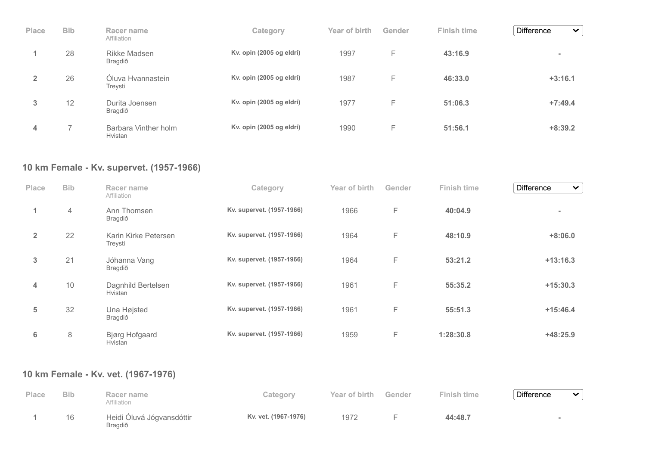| <b>Place</b> | <b>Bib</b> | Racer name<br>Affiliation       | Category                 | Year of birth | Gender | <b>Finish time</b> | <b>Difference</b><br>$\checkmark$ |
|--------------|------------|---------------------------------|--------------------------|---------------|--------|--------------------|-----------------------------------|
|              | 28         | Rikke Madsen<br>Bragdið         | Kv. opin (2005 og eldri) | 1997          | F      | 43:16.9            | $\equiv$                          |
|              | 26         | Óluva Hvannastein<br>Treysti    | Kv. opin (2005 og eldri) | 1987          | F      | 46:33.0            | $+3:16.1$                         |
| 3            | 12         | Durita Joensen<br>Bragdið       | Kv. opin (2005 og eldri) | 1977          | F      | 51:06.3            | $+7:49.4$                         |
| 4            |            | Barbara Vinther holm<br>Hvistan | Kv. opin (2005 og eldri) | 1990          | F      | 51:56.1            | $+8:39.2$                         |

## **10 km Female - Kv. supervet. (1957-1966)**

| Place          | <b>Bib</b>     | Racer name<br>Affiliation        | Category                  | Year of birth | Gender | <b>Finish time</b> | <b>Difference</b><br>$\checkmark$ |
|----------------|----------------|----------------------------------|---------------------------|---------------|--------|--------------------|-----------------------------------|
| 1              | $\overline{4}$ | Ann Thomsen<br>Bragdið           | Kv. supervet. (1957-1966) | 1966          | F      | 40:04.9            | $\equiv$                          |
| $\overline{2}$ | 22             | Karin Kirke Petersen<br>Treysti  | Kv. supervet. (1957-1966) | 1964          | F      | 48:10.9            | $+8:06.0$                         |
| 3              | 21             | Jóhanna Vang<br>Bragdið          | Kv. supervet. (1957-1966) | 1964          | F      | 53:21.2            | $+13:16.3$                        |
| 4              | 10             | Dagnhild Bertelsen<br>Hvistan    | Kv. supervet. (1957-1966) | 1961          | F      | 55:35.2            | $+15:30.3$                        |
| 5              | 32             | Una Højsted<br>Bragdið           | Kv. supervet. (1957-1966) | 1961          | F      | 55:51.3            | $+15:46.4$                        |
| 6              | 8              | <b>Bjørg Hofgaard</b><br>Hvistan | Kv. supervet. (1957-1966) | 1959          | F      | 1:28:30.8          | $+48:25.9$                        |

## **10 km Female - Kv. vet. (1967-1976)**

| Place | <b>Bib</b> | Racer name<br>Affiliation                   | Category             | Year of birth | Gender | <b>Finish time</b> | <b>Difference</b> | $\overline{\phantom{0}}$ |
|-------|------------|---------------------------------------------|----------------------|---------------|--------|--------------------|-------------------|--------------------------|
|       | 16         | Heidi Óluvá Jógvansdóttir<br><b>Bragdið</b> | Kv. vet. (1967-1976) | 1972          |        | 44:48.7            |                   |                          |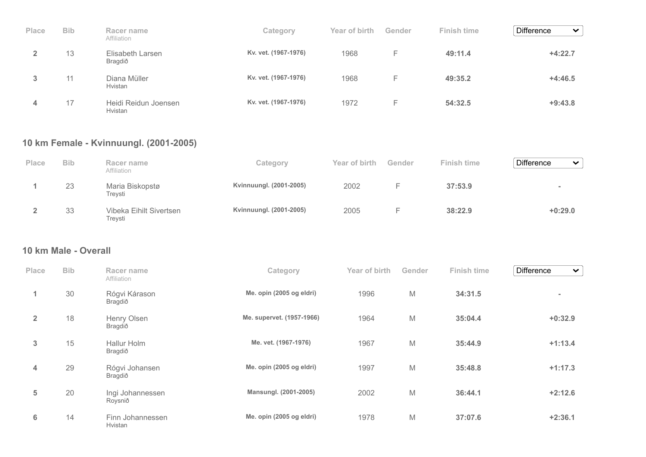| Place | <b>Bib</b> | Racer name<br>Affiliation       | Category             | Year of birth | Gender | <b>Finish time</b> | <b>Difference</b><br>$\checkmark$ |
|-------|------------|---------------------------------|----------------------|---------------|--------|--------------------|-----------------------------------|
|       | 13         | Elisabeth Larsen<br>Bragdið     | Kv. vet. (1967-1976) | 1968          | F.     | 49:11.4            | $+4:22.7$                         |
| 3     | 11         | Diana Müller<br>Hvistan         | Kv. vet. (1967-1976) | 1968          | Е      | 49:35.2            | $+4:46.5$                         |
| 4     | 17         | Heidi Reidun Joensen<br>Hvistan | Kv. vet. (1967-1976) | 1972          | F      | 54:32.5            | $+9:43.8$                         |

### **10 km Female - Kvinnuungl. (2001-2005)**

| Place | <b>Bib</b> | Racer name<br>Affiliation          | Category                | Year of birth | Gender | Finish time | <b>Difference</b><br>$\checkmark$ |
|-------|------------|------------------------------------|-------------------------|---------------|--------|-------------|-----------------------------------|
|       | 23         | Maria Biskopstø<br>Treysti         | Kvinnuungl. (2001-2005) | 2002          |        | 37:53.9     | $\blacksquare$                    |
|       | 33         | Vibeka Eihilt Sivertsen<br>Trevsti | Kvinnuungl. (2001-2005) | 2005          |        | 38:22.9     | $+0:29.0$                         |

### **10 km Male - Overall**

| Place          | <b>Bib</b> | Racer name<br>Affiliation   | Category                  | Year of birth | Gender | <b>Finish time</b> | <b>Difference</b><br>$\checkmark$ |
|----------------|------------|-----------------------------|---------------------------|---------------|--------|--------------------|-----------------------------------|
| 1              | 30         | Rógvi Kárason<br>Bragdið    | Me. opin (2005 og eldri)  | 1996          | M      | 34:31.5            | $\sim$                            |
| $\overline{2}$ | 18         | Henry Olsen<br>Bragdið      | Me. supervet. (1957-1966) | 1964          | M      | 35:04.4            | $+0:32.9$                         |
| 3              | 15         | Hallur Holm<br>Bragdið      | Me. vet. (1967-1976)      | 1967          | M      | 35:44.9            | $+1:13.4$                         |
| 4              | 29         | Rógvi Johansen<br>Bragdið   | Me. opin (2005 og eldri)  | 1997          | M      | 35:48.8            | $+1:17.3$                         |
| 5              | 20         | Ingi Johannessen<br>Roysnið | Mansungl. (2001-2005)     | 2002          | M      | 36:44.1            | $+2:12.6$                         |
| 6              | 14         | Finn Johannessen<br>Hvistan | Me. opin (2005 og eldri)  | 1978          | M      | 37:07.6            | $+2:36.1$                         |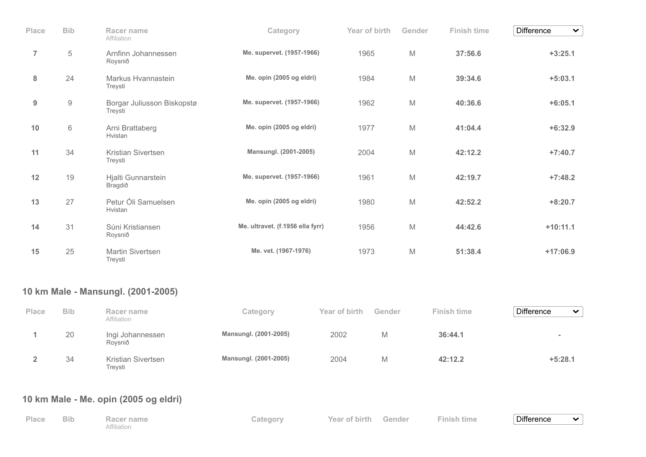| Place          | <b>Bib</b> | Racer name                                    | Category                         | Year of birth | Gender | <b>Finish time</b> | <b>Difference</b><br>$\vee$ |
|----------------|------------|-----------------------------------------------|----------------------------------|---------------|--------|--------------------|-----------------------------|
| $\overline{7}$ | $\sqrt{5}$ | Affiliation<br>Arnfinn Johannessen<br>Roysnið | Me. supervet. (1957-1966)        | 1965          | M      | 37:56.6            | $+3:25.1$                   |
| 8              | 24         | Markus Hvannastein<br>Treysti                 | Me. opin (2005 og eldri)         | 1984          | M      | 39:34.6            | $+5:03.1$                   |
| 9              | $\hbox{9}$ | Borgar Juliusson Biskopstø<br>Treysti         | Me. supervet. (1957-1966)        | 1962          | M      | 40:36.6            | $+6:05.1$                   |
| 10             | $6\,$      | Arni Brattaberg<br>Hvistan                    | Me. opin (2005 og eldri)         | 1977          | M      | 41:04.4            | $+6:32.9$                   |
| 11             | 34         | Kristian Sivertsen<br>Treysti                 | Mansungl. (2001-2005)            | 2004          | M      | 42:12.2            | $+7:40.7$                   |
| 12             | 19         | Hjalti Gunnarstein<br>Bragdið                 | Me. supervet. (1957-1966)        | 1961          | M      | 42:19.7            | $+7:48.2$                   |
| 13             | 27         | Petur Óli Samuelsen<br>Hvistan                | Me. opin (2005 og eldri)         | 1980          | M      | 42:52.2            | $+8:20.7$                   |
| 14             | 31         | Súni Kristiansen<br>Roysnið                   | Me. ultravet. (f.1956 ella fyrr) | 1956          | M      | 44:42.6            | $+10:11.1$                  |
| 15             | 25         | <b>Martin Sivertsen</b><br>Treysti            | Me. vet. (1967-1976)             | 1973          | M      | 51:38.4            | $+17:06.9$                  |

# **10 km Male - Mansungl. (2001-2005)**

| Place | <b>Bib</b> | Racer name<br>Affiliation     | Category              | Year of birth | Gender | <b>Finish time</b> | <b>Difference</b><br>$\checkmark$ |
|-------|------------|-------------------------------|-----------------------|---------------|--------|--------------------|-----------------------------------|
|       | 20         | Ingi Johannessen<br>Rovsnið   | Mansungl. (2001-2005) | 2002          | М      | 36:44.1            | $\equiv$                          |
|       | 34         | Kristian Sivertsen<br>Treysti | Mansungl. (2001-2005) | 2004          | M      | 42:12.2            | $+5:28.1$                         |

# **10 km Male - Me. opin (2005 og eldri)**

| Place | <b>Bib</b> | Racer name  | Category | Year of birth Gender | Finish time | <b>Difference</b> | $\tilde{\phantom{a}}$ |
|-------|------------|-------------|----------|----------------------|-------------|-------------------|-----------------------|
|       |            | Affiliation |          |                      |             |                   |                       |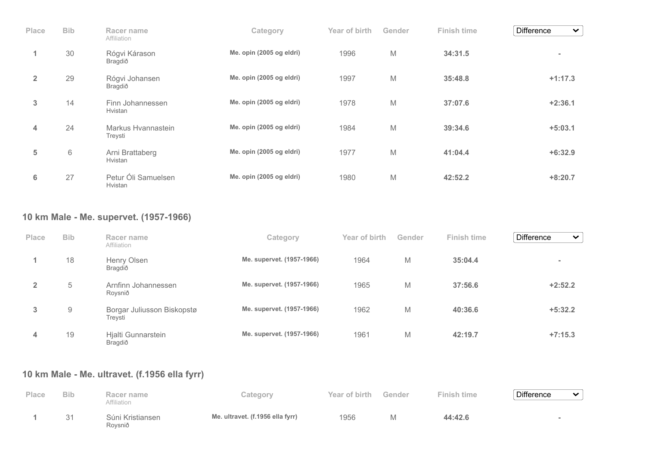| Place          | <b>Bib</b> | Racer name<br>Affiliation      | Category                 | Year of birth | Gender | Finish time | <b>Difference</b><br>$\checkmark$ |
|----------------|------------|--------------------------------|--------------------------|---------------|--------|-------------|-----------------------------------|
| 1              | 30         | Rógvi Kárason<br>Bragdið       | Me. opin (2005 og eldri) | 1996          | M      | 34:31.5     | $\equiv$                          |
| $\overline{2}$ | 29         | Rógvi Johansen<br>Bragdið      | Me. opin (2005 og eldri) | 1997          | M      | 35:48.8     | $+1:17.3$                         |
| 3              | 14         | Finn Johannessen<br>Hvistan    | Me. opin (2005 og eldri) | 1978          | M      | 37:07.6     | $+2:36.1$                         |
| 4              | 24         | Markus Hvannastein<br>Treysti  | Me. opin (2005 og eldri) | 1984          | M      | 39:34.6     | $+5:03.1$                         |
| 5              | 6          | Arni Brattaberg<br>Hvistan     | Me. opin (2005 og eldri) | 1977          | M      | 41:04.4     | $+6:32.9$                         |
| 6              | 27         | Petur Óli Samuelsen<br>Hvistan | Me. opin (2005 og eldri) | 1980          | M      | 42:52.2     | $+8:20.7$                         |

### **10 km Male - Me. supervet. (1957-1966)**

| <b>Place</b>   | <b>Bib</b>     | Racer name<br>Affiliation             | Category                  | Year of birth | Gender | Finish time | <b>Difference</b><br>$\checkmark$ |
|----------------|----------------|---------------------------------------|---------------------------|---------------|--------|-------------|-----------------------------------|
|                | 18             | Henry Olsen<br>Bragdið                | Me. supervet. (1957-1966) | 1964          | M      | 35:04.4     | $\sim$                            |
| $\overline{2}$ | 5              | Arnfinn Johannessen<br>Roysnið        | Me. supervet. (1957-1966) | 1965          | M      | 37:56.6     | $+2:52.2$                         |
| 3              | $\overline{9}$ | Borgar Juliusson Biskopstø<br>Treysti | Me. supervet. (1957-1966) | 1962          | M      | 40:36.6     | $+5:32.2$                         |
| 4              | 19             | Hjalti Gunnarstein<br>Bragdið         | Me. supervet. (1957-1966) | 1961          | M      | 42:19.7     | $+7:15.3$                         |

## **10 km Male - Me. ultravet. (f.1956 ella fyrr)**

| Place | <b>Bib</b> | Racer name<br>Affiliation   | Category                         | Year of birth | Gender | <b>Finish time</b> | <b>Difference</b> | $\checkmark$ |
|-------|------------|-----------------------------|----------------------------------|---------------|--------|--------------------|-------------------|--------------|
|       | 31         | Súni Kristiansen<br>Roysnið | Me. ultravet. (f.1956 ella fyrr) | 1956          |        | 44:42.6            |                   |              |